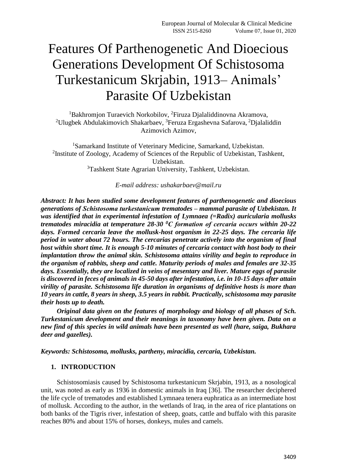# Features Of Parthenogenetic And Dioecious Generations Development Of Schistosoma Turkestanicum Skrjabin, 1913– Animals' Parasite Of Uzbekistan

<sup>1</sup>Bakhromjon Turaevich Norkobilov, <sup>2</sup>Firuza Djalaliddinovna Akramova, <sup>2</sup>Ulugbek Abdulakimovich Shakarbaev, <sup>3</sup>Feruza Ergashevna Safarova, <sup>2</sup>Djalaliddin Azimovich Azimov,

<sup>1</sup>Samarkand Institute of Veterinary Medicine, Samarkand, Uzbekistan. <sup>2</sup> Institute of Zoology, Academy of Sciences of the Republic of Uzbekistan, Tashkent, Uzbekistan. <sup>3</sup>Tashkent State Agrarian University, Tashkent, Uzbekistan.

*E-mail address: [ushakarbaev@mail.ru](mailto:ushakarbaev@mail.ru)*

*Abstract: It has been studied some development features of parthenogenetic and dioecious generations of Schistosoma turkestaniсum trematodes – mammal parasite of Uzbekistan. It was identified that in experimental infestation of Lymnaea (=Radix) auricularia mollusks trematodes miracidia at temperature 28-30 <sup>0</sup>С formation of cercaria occurs within 20-22 days. Formed cercaria leave the mollusk-host organism in 22-25 days. The cercaria life period in water about 72 hours. The cercarias penetrate actively into the organism of final host within short time. It is enough 5-10 minutes of cercaria contact with host body to their implantation throw the animal skin. Schistosoma attains virility and begin to reproduce in the organism of rabbits, sheep and cattle. Maturity periods of males and females are 32-35 days. Essentially, they are localized in veins of mesentary and liver. Mature eggs of parasite is discovered in feces of animals in 45-50 days after infestation, i.e. in 10-15 days after attain virility of parasite. Schistosoma life duration in organisms of definitive hosts is more than 10 years in cattle, 8 years in sheep, 3.5 years in rabbit. Practically, schistosoma may parasite their hosts up to death.* 

*Original data given on the features of morphology and biology of all phases of Sch. Turkestaniсum development and their meanings in taxonomy have been given. Data on a new find of this species in wild animals have been presented as well (hare, saiga, Bukhara deer and gazelles).*

*Keywords: Schistosoma, mollusks, partheny, miracidia, cercaria, Uzbekistan.*

## **1. INTRODUCTION**

Schistosomiasis caused by Schistosoma turkestanicum Skrjabin, 1913, as a nosological unit, was noted as early as 1936 in domestic animals in Iraq [36]. The researcher deciphered the life cycle of trematodes and established Lymnaea tenera euphratica as an intermediate host of mollusk. According to the author, in the wetlands of Iraq, in the area of rice plantations on both banks of the Tigris river, infestation of sheep, goats, cattle and buffalo with this parasite reaches 80% and about 15% of horses, donkeys, mules and camels.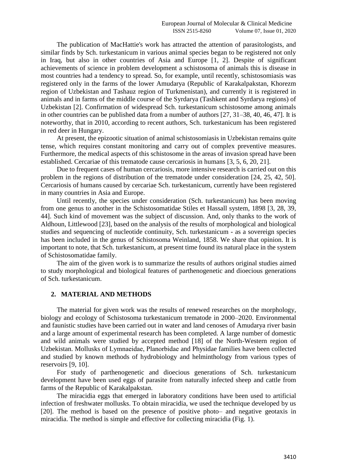The publication of MacHattie's work has attracted the attention of parasitologists, and similar finds by Sch. turkestanicum in various animal species began to be registered not only in Iraq, but also in other countries of Asia and Europe [1, 2]. Despite of significant achievements of science in problem development a schistosoma of animals this is disease in most countries had a tendency to spread. So, for example, until recently, schistosomiasis was registered only in the farms of the lower Amudarya (Republic of Karakalpakstan, Khorezm region of Uzbekistan and Tashauz region of Turkmenistan), and currently it is registered in animals and in farms of the middle course of the Syrdarya (Tashkent and Syrdarya regions) of Uzbekistan [2]. Confirmation of widespread Sch. turkestanicum schistosome among animals in other countries can be published data from a number of authors [27, 31–38, 40, 46, 47]. It is noteworthy, that in 2010, according to recent authors, Sch. turkestanicum has been registered in red deer in Hungary.

At present, the epizootic situation of animal schistosomiasis in Uzbekistan remains quite tense, which requires constant monitoring and carry out of complex preventive measures. Furthermore, the medical aspects of this schistosome in the areas of invasion spread have been established. Cercariae of this trematode cause cercariosis in humans [3, 5, 6, 20, 21].

Due to frequent cases of human cercariosis, more intensive research is carried out on this problem in the regions of distribution of the trematode under consideration [24, 25, 42, 50]. Cercariosis of humans caused by cercariae Sch. turkestanicum, currently have been registered in many countries in Asia and Europe.

Until recently, the species under consideration (Sch. turkestanicum) has been moving from one genus to another in the Schistosomatidae Stiles et Hassall system, 1898 [3, 28, 39, 44]. Such kind of movement was the subject of discussion. And, only thanks to the work of Aldhoun, Littlewood [23], based on the analysis of the results of morphological and biological studies and sequencing of nucleotide continuity, Sch. turkestanicum - as a sovereign species has been included in the genus of Schistosoma Weinland, 1858. We share that opinion. It is important to note, that Sch. turkestanicum, at present time found its natural place in the system of Schistosomatidae family.

The aim of the given work is to summarize the results of authors original studies aimed to study morphological and biological features of parthenogenetic and dioecious generations of Sch. turkestanicum.

## **2. MATERIAL AND METHODS**

The material for given work was the results of renewed researches on the morphology, biology and ecology of Schistosoma turkestanicum trematode in 2000–2020. Environmental and faunistic studies have been carried out in water and land cenoses of Amudarya river basin and a large amount of experimental research has been completed. A large number of domestic and wild animals were studied by accepted method [18] of the North-Western region of Uzbekistan. Mollusks of Lymnaeidae, Plаnorbidae and Physidae families have been collected and studied by known methods of hydrobiology and helminthology from various types of reservoirs [9, 10].

For study of parthenogenetic and dioecious generations of Sch. turkestanicum development have been used eggs of parasite from naturally infected sheep and cattle from farms of the Republic of Karakalpakstan.

The miracidia eggs that emerged in laboratory conditions have been used to artificial infection of freshwater mollusks. To obtain miracidia, we used the technique developed by us [20]. The method is based on the presence of positive photo– and negative geotaxis in miracidia. The method is simple and effective for collecting miracidia (Fig. 1).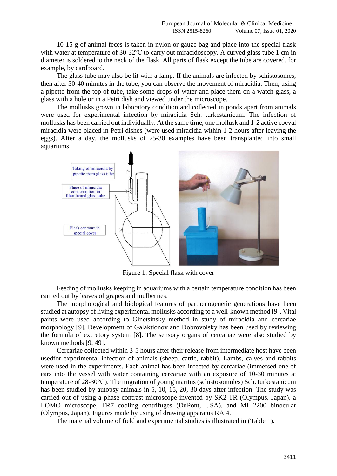10-15 g of animal feces is taken in nylon or gauze bag and place into the special flask with water at temperature of 30-32°C to carry out miracidoscopy. A curved glass tube 1 cm in diameter is soldered to the neck of the flask. All parts of flask except the tube are covered, for example, by cardboard.

The glass tube may also be lit with a lamp. If the animals are infected by schistosomes, then after 30-40 minutes in the tube, you can observe the movement of miracidia. Then, using a pipette from the top of tube, take some drops of water and place them on a watch glass, a glass with a hole or in a Petri dish and viewed under the microscope.

The mollusks grown in laboratory condition and collected in ponds apart from animals were used for experimental infection by miracidia Sch. turkestanicum. The infection of mollusks has been carried out individually. At the same time, one mollusk and 1-2 active coeval miracidia were placed in Petri dishes (were used miracidia within 1-2 hours after leaving the eggs). After a day, the mollusks of 25-30 examples have been transplanted into small aquariums.



Figure 1. Special flask with cover

Feeding of mollusks keeping in aquariums with a certain temperature condition has been carried out by leaves of grapes and mulberries.

The morphological and biological features of parthenogenetic generations have been studied at autopsy of living experimental mollusks according to a well-known method [9]. Vital paints were used according to Ginetsinsky method in study of miracidia and cercariae morphology [9]. Development of Galaktionov and Dobrovolsky has been used by reviewing the formula of excretory system [8]. The sensory organs of cercariae were also studied by known methods [9, 49].

Cercariae collected within 3-5 hours after their release from intermediate host have been usedfor experimental infection of animals (sheep, cattle, rabbit). Lambs, calves and rabbits were used in the experiments. Each animal has been infected by cercariae (immersed one of ears into the vessel with water containing cercariae with an exposure of 10-30 minutes at temperature of 28-30°C). The migration of young maritus (schistosomules) Sch. turkestanicum has been studied by autopsy animals in 5, 10, 15, 20, 30 days after infection. The study was carried out of using a phase-contrast microscope invented by SK2-TR (Olympus, Japan), a LOMO microscope, TR7 cooling centrifuges (DuPont, USA), and ML-2200 binocular (Olympus, Japan). Figures made by using of drawing apparatus RA 4.

The material volume of field and experimental studies is illustrated in (Table 1).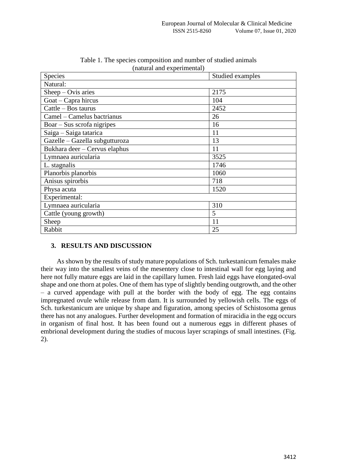| Species                        | Studied examples |  |  |  |
|--------------------------------|------------------|--|--|--|
| Natural:                       |                  |  |  |  |
| $Sheep-Ovis\ arises$           | 2175             |  |  |  |
| Goat – Capra hircus            | 104              |  |  |  |
| Cattle - Bos taurus            | 2452             |  |  |  |
| Camel - Camelus bactrianus     | 26               |  |  |  |
| $Boar - Sus$ scrofa nigripes   | 16               |  |  |  |
| Saiga - Saiga tatarica         | 11               |  |  |  |
| Gazelle - Gazella subgutturoza | 13               |  |  |  |
| Bukhara deer - Cervus elaphus  | 11               |  |  |  |
| Lymnaea auricularia            | 3525             |  |  |  |
| L. stagnalis                   | 1746             |  |  |  |
| Planorbis planorbis            | 1060             |  |  |  |
| Anisus spirorbis               | 718              |  |  |  |
| Physa acuta                    | 1520             |  |  |  |
| Experimental:                  |                  |  |  |  |
| Lymnaea auricularia            | 310              |  |  |  |
| Cattle (young growth)          | 5                |  |  |  |
| Sheep                          | 11               |  |  |  |
| Rabbit                         | 25               |  |  |  |

Table 1. The species composition and number of studied animals (natural and experimental)

# **3. RESULTS AND DISCUSSION**

As shown by the results of study mature populations of Sch. turkestanicum females make their way into the smallest veins of the mesentery close to intestinal wall for egg laying and here not fully mature eggs are laid in the capillary lumen. Fresh laid eggs have elongated-oval shape and one thorn at poles. One of them has type of slightly bending outgrowth, and the other – a curved appendage with pull at the border with the body of egg. The egg contains impregnated ovule while release from dam. It is surrounded by yellowish cells. The eggs of Sch. turkestanicum are unique by shape and figuration, among species of Schistosoma genus there has not any analogues. Further development and formation of miracidia in the egg occurs in organism of final host. It has been found out a numerous eggs in different phases of embrional development during the studies of mucous layer scrapings of small intestines. (Fig. 2).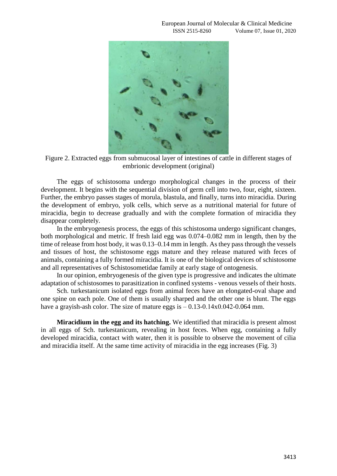

Figure 2. Extracted eggs from submucosal layer of intestines of cattle in different stages of embrionic development (original)

The eggs of schistosoma undergo morphological changes in the process of their development. It begins with the sequential division of germ cell into two, four, eight, sixteen. Further, the embryo passes stages of morula, blastula, and finally, turns into miracidia. During the development of embryo, yolk cells, which serve as a nutritional material for future of miracidia, begin to decrease gradually and with the complete formation of miracidia they disappear completely.

In the embryogenesis process, the eggs of this schistosoma undergo significant changes, both morphological and metric. If fresh laid egg was 0.074–0.082 mm in length, then by the time of release from host body, it was 0.13–0.14 mm in length. As they pass through the vessels and tissues of host, the schistosome eggs mature and they release matured with feces of animals, containing a fully formed miracidia. It is one of the biological devices of schistosome and all representatives of Schistosometidae family at early stage of ontogenesis.

In our opinion, embryogenesis of the given type is progressive and indicates the ultimate adaptation of schistosomes to parasitization in confined systems - venous vessels of their hosts.

Sch. turkestanicum isolated eggs from animal feces have an elongated-oval shape and one spine on each pole. One of them is usually sharped and the other one is blunt. The eggs have a grayish-ash color. The size of mature eggs is  $-0.13-0.14x0.042-0.064$  mm.

**Miracidium in the egg and its hatching.** We identified that miracidia is present almost in all eggs of Sch. turkestanicum, revealing in host feces. When egg, containing a fully developed miracidia, contact with water, then it is possible to observe the movement of cilia and miracidia itself. At the same time activity of miracidia in the egg increases (Fig. 3)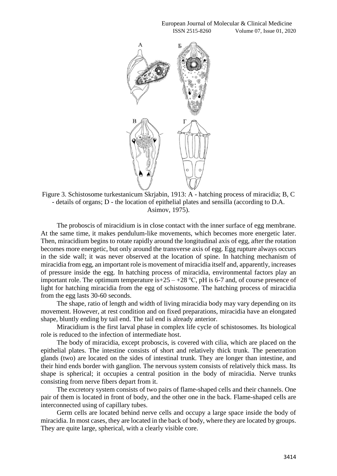European Journal of Molecular & Clinical Medicine ISSN 2515-8260 Volume 07, Issue 01, 2020



Figure 3. Schistosome turkestanicum Skrjabin, 1913: A - hatching process of miracidia; B, C - details of organs; D - the location of epithelial plates and sensilla (according to D.A. Asimov, 1975).

The proboscis of miracidium is in close contact with the inner surface of egg membrane. At the same time, it makes pendulum-like movements, which becomes more energetic later. Then, miracidium begins to rotate rapidly around the longitudinal axis of egg, after the rotation becomes more energetic, but only around the transverse axis of egg. Egg rupture always occurs in the side wall; it was never observed at the location of spine. In hatching mechanism of miracidia from egg, an important role is movement of miracidia itself and, apparently, increases of pressure inside the egg. In hatching process of miracidia, environmental factors play an important role. The optimum temperature is +25 – +28 °C, pH is 6-7 and, of course presence of light for hatching miracidia from the egg of schistosome. The hatching process of miracidia from the egg lasts 30-60 seconds.

The shape, ratio of length and width of living miracidia body may vary depending on its movement. However, at rest condition and on fixed preparations, miracidia have an elongated shape, bluntly ending by tail end. The tail end is already anterior.

Miracidium is the first larval phase in complex life cycle of schistosomes. Its biological role is reduced to the infection of intermediate host.

The body of miracidia, except proboscis, is covered with cilia, which are placed on the epithelial plates. The intestine consists of short and relatively thick trunk. The penetration glands (two) are located on the sides of intestinal trunk. They are longer than intestine, and their hind ends border with ganglion. The nervous system consists of relatively thick mass. Its shape is spherical; it occupies a central position in the body of miracidia. Nerve trunks consisting from nerve fibers depart from it.

The excretory system consists of two pairs of flame-shaped cells and their channels. One pair of them is located in front of body, and the other one in the back. Flame-shaped cells are interconnected using of capillary tubes.

Germ cells are located behind nerve cells and occupy a large space inside the body of miracidia. In most cases, they are located in the back of body, where they are located by groups. They are quite large, spherical, with a clearly visible core.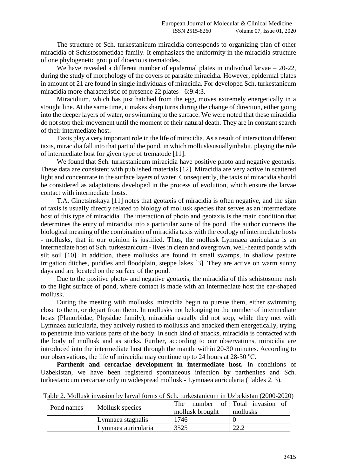The structure of Sch. turkestanicum miracidia corresponds to organizing plan of other miracidia of Schistosometidae family. It emphasizes the uniformity in the miracidia structure of one phylogenetic group of dioecious trematodes.

We have revealed a different number of epidermal plates in individual larvae – 20-22, during the study of morphology of the covers of parasite miracidia. However, epidermal plates in amount of 21 are found in single individuals of miracidia. For developed Sch. turkestanicum miracidia more characteristic of presence 22 plates - 6:9:4:3.

Miracidium, which has just hatched from the egg, moves extremely energetically in a straight line. At the same time, it makes sharp turns during the change of direction, either going into the deeper layers of water, or swimming to the surface. We were noted that these miracidia do not stop their movement until the moment of their natural death. They are in constant search of their intermediate host.

Taxis play a very important role in the life of miracidia. As a result of interaction different taxis, miracidia fall into that part of the pond, in which mollusksusuallyinhabit, playing the role of intermediate host for given type of trematode [11].

We found that Sch. turkestanicum miracidia have positive photo and negative geotaxis. These data are consistent with published materials [12]. Miracidia are very active in scattered light and concentrate in the surface layers of water. Consequently, the taxis of miracidia should be considered as adaptations developed in the process of evolution, which ensure the larvae contact with intermediate hosts.

T.A. Ginetsinskaya [11] notes that geotaxis of miracidia is often negative, and the sign of taxis is usually directly related to biology of mollusk species that serves as an intermediate host of this type of miracidia. The interaction of photo and geotaxis is the main condition that determines the entry of miracidia into a particular zone of the pond. The author connects the biological meaning of the combination of miracidia taxis with the ecology of intermediate hosts - mollusks, that in our opinion is justified. Thus, the mollusk Lymnaea auricularia is an intermediate host of Sch. turkestanicum - lives in clean and overgrown, well-heated ponds with silt soil [10]. In addition, these mollusks are found in small swamps, in shallow pasture irrigation ditches, puddles and floodplain, steppe lakes [3]. They are active on warm sunny days and are located on the surface of the pond.

Due to the positive photo- and negative geotaxis, the miracidia of this schistosome rush to the light surface of pond, where contact is made with an intermediate host the ear-shaped mollusk.

During the meeting with mollusks, miracidia begin to pursue them, either swimming close to them, or depart from them. In mollusks not belonging to the number of intermediate hosts (Planorbidae, Physidae family), miracidia usually did not stop, while they met with Lymnaea auricularia, they actively rushed to mollusks and attacked them energetically, trying to penetrate into various parts of the body. In such kind of attacks, miracidia is contacted with the body of mollusk and as sticks. Further, according to our observations, miracidia are introduced into the intermediate host through the mantle within 20-30 minutes. According to our observations, the life of miracidia may continue up to 24 hours at  $28\text{-}30^{\circ}\text{C}$ .

Parthenit and cercariae development in intermediate host. In conditions of Uzbekistan, we have been registered spontaneous infection by parthenites and Sch. turkestanicum cercariae only in widespread mollusk - Lymnaea auricularia (Tables 2, 3).

| Pond names | Mollusk species     | The             | number of Total invasion of |
|------------|---------------------|-----------------|-----------------------------|
|            |                     | mollusk brought | mollusks                    |
|            | Lymnaea stagnalis   | '746            |                             |
|            | Lymnaea auricularia | 3525            | ററ റ                        |

Table 2. Mollusk invasion by larval forms of Sch. turkestanicum in Uzbekistan (2000-2020)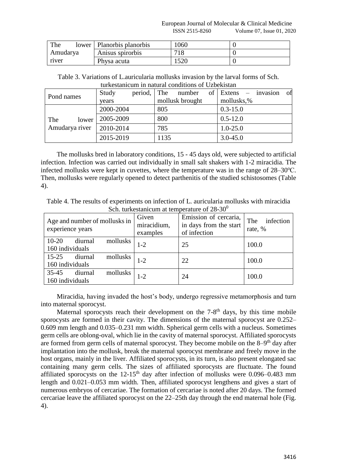| The      | lower | Planorbis planorbis | 060         |  |
|----------|-------|---------------------|-------------|--|
| Amudarya |       | Anisus spirorbis    | 718         |  |
| river    |       | Physa acuta         | 500<br>.J∠∪ |  |

Table 3. Variations of L.auricularia mollusks invasion by the larval forms of Sch. turkestanicum in natural conditions of Uzbekistan

| Pond names                     | Study     | period, The |                 | number | οf         | Extens       | invasion | of |
|--------------------------------|-----------|-------------|-----------------|--------|------------|--------------|----------|----|
|                                | years     |             | mollusk brought |        | mollusks,% |              |          |    |
|                                | 2000-2004 |             | 805             |        |            | $0.3 - 15.0$ |          |    |
| The<br>lower<br>Amudarya river | 2005-2009 |             | 800             |        |            | $0.5 - 12.0$ |          |    |
|                                | 2010-2014 |             | 785             |        |            | $1.0 - 25.0$ |          |    |
|                                | 2015-2019 |             | 1135            |        |            | $3.0 - 45.0$ |          |    |

The mollusks bred in laboratory conditions, 15 - 45 days old, were subjected to artificial infection. Infection was carried out individually in small salt shakers with 1-2 miracidia. The infected mollusks were kept in cuvettes, where the temperature was in the range of  $28-30^{\circ}$ C. Then, mollusks were regularly opened to detect parthenitis of the studied schistosomes (Table 4).

Table 4. The results of experiments on infection of L. auricularia mollusks with miracidia Sch. turkestanicum at temperature of 28-30<sup>0</sup>

| Age and number of mollusks in<br>experience years   | Given<br>miracidium,<br>examples | Emission of cercaria,<br>in days from the start<br>of infection | infection<br>The<br>rate, % |
|-----------------------------------------------------|----------------------------------|-----------------------------------------------------------------|-----------------------------|
| $10-20$<br>mollusks<br>diurnal<br>160 individuals   | $1 - 2$                          | 25                                                              | 100.0                       |
| $15 - 25$<br>mollusks<br>diurnal<br>160 individuals | $1 - 2$                          | 22                                                              | 100.0                       |
| $35 - 45$<br>mollusks<br>diurnal<br>160 individuals | $1 - 2$                          | 24                                                              | 100.0                       |

Miracidia, having invaded the host's body, undergo regressive metamorphosis and turn into maternal sporocyst.

Maternal sporocysts reach their development on the  $7-8<sup>th</sup>$  days, by this time mobile sporocysts are formed in their cavity. The dimensions of the maternal sporocyst are 0.252– 0.609 mm length and 0.035–0.231 mm width. Spherical germ cells with a nucleus. Sometimes germ cells are oblong-oval, which lie in the cavity of maternal sporocyst. Affiliated sporocysts are formed from germ cells of maternal sporocyst. They become mobile on the 8–9<sup>th</sup> day after implantation into the mollusk, break the maternal sporocyst membrane and freely move in the host organs, mainly in the liver. Affiliated sporocysts, in its turn, is also present elongated sac containing many germ cells. The sizes of affiliated sporocysts are fluctuate. The found affiliated sporocysts on the  $12{\text -}15^{\text{th}}$  day after infection of mollusks were 0.096–0.483 mm length and 0.021–0.053 mm width. Then, affiliated sporocyst lengthens and gives a start of numerous embryos of cercariae. The formation of cercariae is noted after 20 days. The formed cercariae leave the affiliated sporocyst on the 22–25th day through the end maternal hole (Fig. 4).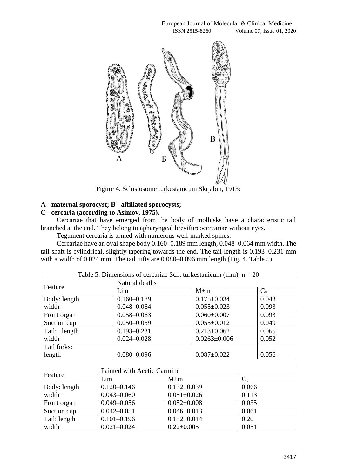

Figure 4. Schistosome turkestanicum Skrjabin, 1913:

# **A - maternal sporocyst; B - affiliated sporocysts;**

# **C - cercaria (according to Asimov, 1975).**

Cercariae that have emerged from the body of mollusks have a characteristic tail branched at the end. They belong to apharyngeal brevifurcocercariae without eyes.

Tegument cercaria is armed with numerous well-marked spines.

Cercariae have an oval shape body 0.160–0.189 mm length, 0.048–0.064 mm width. The tail shaft is cylindrical, slightly tapering towards the end. The tail length is 0.193–0.231 mm with a width of 0.024 mm. The tail tufts are 0.080–0.096 mm length (Fig. 4. Table 5).

| Feature      | Natural deaths  |                    |         |  |  |  |
|--------------|-----------------|--------------------|---------|--|--|--|
|              | Lim             | $M \pm m$          | $C_{v}$ |  |  |  |
| Body: length | $0.160 - 0.189$ | $0.175 \pm 0.034$  | 0.043   |  |  |  |
| width        | $0.048 - 0.064$ | $0.055 \pm 0.023$  | 0.093   |  |  |  |
| Front organ  | $0.058 - 0.063$ | $0.060 \pm 0.007$  | 0.093   |  |  |  |
| Suction cup  | $0.050 - 0.059$ | $0.055 \pm 0.012$  | 0.049   |  |  |  |
| Tail: length | $0.193 - 0.231$ | $0.213 \pm 0.062$  | 0.065   |  |  |  |
| width        | $0.024 - 0.028$ | $0.0263 \pm 0.006$ | 0.052   |  |  |  |
| Tail forks:  |                 |                    |         |  |  |  |
| length       | $0.080 - 0.096$ | $0.087 \pm 0.022$  | 0.056   |  |  |  |

|  |  |  |  | Table 5. Dimensions of cercariae Sch. turkestanicum (mm), $n = 20$ |  |
|--|--|--|--|--------------------------------------------------------------------|--|
|--|--|--|--|--------------------------------------------------------------------|--|

|              | Painted with Acetic Carmine |                   |         |  |  |
|--------------|-----------------------------|-------------------|---------|--|--|
| Feature      | Lim                         | $M \pm m$         | $C_{v}$ |  |  |
| Body: length | $0.120 - 0.146$             | $0.132 \pm 0.039$ | 0.066   |  |  |
| width        | $0.043 - 0.060$             | $0.051 \pm 0.026$ | 0.113   |  |  |
| Front organ  | $0.049 - 0.056$             | $0.052 \pm 0.008$ | 0.035   |  |  |
| Suction cup  | $0.042 - 0.051$             | $0.046 \pm 0.013$ | 0.061   |  |  |
| Tail: length | $0.101 - 0.196$             | $0.152 \pm 0.014$ | 0.20    |  |  |
| width        | $0.021 - 0.024$             | $0.22 \pm 0.005$  | 0.051   |  |  |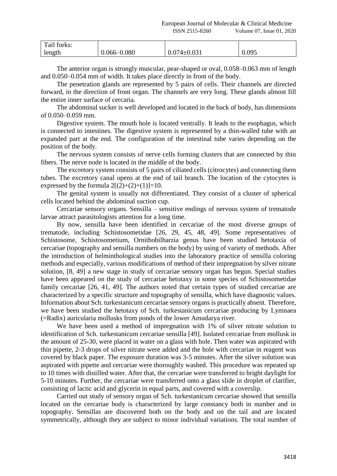| Tail forks: |                 |                   |       |
|-------------|-----------------|-------------------|-------|
| length      | $0.066 - 0.080$ | $0.074 \pm 0.031$ | 0.095 |

The anterior organ is strongly muscular, pear-shaped or oval, 0.058–0.063 mm of length and 0.050–0.054 mm of width. It takes place directly in front of the body.

The penetration glands are represented by 5 pairs of cells. Their channels are directed forward, in the direction of front organ. The channels are very long. These glands almost fill the entire inner surface of cercaria.

The abdominal sucker is well developed and located in the back of body, has dimensions of 0.050–0.059 mm.

Digestive system. The mouth hole is located ventrally. It leads to the esophagus, which is connected to intestines. The digestive system is represented by a thin-walled tube with an expanded part at the end. The configuration of the intestinal tube varies depending on the position of the body.

The nervous system consists of nerve cells forming clusters that are connected by thin fibers. The nerve node is located in the middle of the body.

The excretory system consists of 5 pairs of ciliated cells (citrocytes) and connecting them tubes. The excretory canal opens at the end of tail branch. The location of the cytocytes is expressed by the formula  $2[(2)+(2)+(1)]=10$ .

The genital system is usually not differentiated. They consist of a cluster of spherical cells located behind the abdominal suction cup.

Cercariae sensory organs. Sensilla – sensitive endings of nervous system of trematode larvae attract parasitologists attention for a long time.

By now, sensilla have been identified in cercariae of the most diverse groups of trematode, including Schistosometidae [26, 29, 45, 48, 49]. Some representatives of Schistosome, Schistosometium, Ornithobilharzia genus have been studied hetotaxia of cercariae (topography and sensilla numbers on the body) by using of variety of methods. After the introduction of helminthological studies into the laboratory practice of sensilla coloring methods and especially, various modifications of method of their impregnation by silver nitrate solution, [8, 49] a new stage in study of cercariae sensory organ has begun. Special studies have been appeared on the study of cercariae hetotaxy in some species of Schistosometidae family cercariae [26, 41, 49]. The authors noted that certain types of studied cercariae are characterized by a specific structure and topography of sensilla, which have diagnostic values. Information about Sch. turkestanicum cercariae sensory organs is practically absent. Therefore, we have been studied the hetotaxy of Sch. turkestanicum cercariae producing by Lymnaea (=Radix) auricularia mollusks from ponds of the lower Amudarya river.

We have been used a method of impregnation with 1% of silver nitrate solution to identification of Sch. turkestanicum cercariae sensilla [49]. Isolated cercariae from mollusk in the amount of 25-30, were placed in water on a glass with hole. Then water was aspirated with thin pipette, 2-3 drops of silver nitrate were added and the hole with cercariae in reagent was covered by black paper. The exposure duration was 3-5 minutes. After the silver solution was aspirated with pipette and cercariae were thoroughly washed. This procedure was repeated up to 10 times with distilled water. After that, the cercariae were transferred to bright daylight for 5-10 minutes. Further, the cercariae were transferred onto a glass slide in droplet of clarifier, consisting of lactic acid and glycerin in equal parts, and covered with a coverslip.

Carried out study of sensory organ of Sch. turkestanicum cercariae showed that sensilla located on the cercariae body is characterized by large constancy both in number and in topography. Sensillas are discovered both on the body and on the tail and are located symmetrically, although they are subject to minor individual variations. The total number of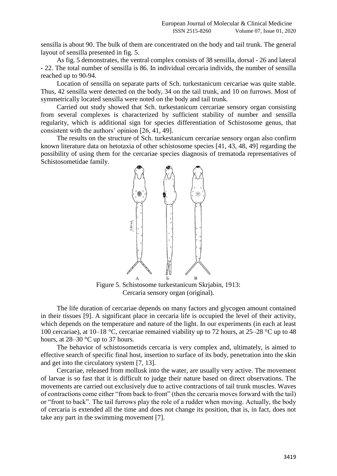sensilla is about 90. The bulk of them are concentrated on the body and tail trunk. The general layout of sensilla presented in fig. 5.

As fig. 5 demonstrates, the ventral complex consists of 38 sensilla, dorsal - 26 and lateral - 22. The total number of sensilla is 86. In individual cercaria individs, the number of sensilla reached up to 90-94.

Location of sensilla on separate parts of Sch. turkestanicum cercariae was quite stable. Thus, 42 sensilla were detected on the body, 34 on the tail trunk, and 10 on furrows. Most of symmetrically located sensilla were noted on the body and tail trunk.

Carried out study showed that Sch. turkestanicum cercariae sensory organ consisting from several complexes is characterized by sufficient stability of number and sensilla regularity, which is additional sign for species differentiation of Schistosome genus, that consistent with the authors' opinion [26, 41, 49].

The results on the structure of Sch. turkestanicum cercariae sensory organ also confirm known literature data on hetotaxia of other schistosome species [41, 43, 48, 49] regarding the possibility of using them for the cercariae species diagnosis of trematoda representatives of Schistosometidae family.



Figure 5. Schistosome turkestanicum Skrjabin, 1913: Cercaria sensory organ (original).

The life duration of cercariae depends on many factors and glycogen amount contained in their tissues [9]. A significant place in cercaria life is occupied the level of their activity, which depends on the temperature and nature of the light. In our experiments (in each at least 100 cercariae), at 10–18 °C, cercariae remained viability up to 72 hours, at 25–28 °C up to 48 hours, at 28–30 °C up to 37 hours.

The behavior of schistosometids cercaria is very complex and, ultimately, is aimed to effective search of specific final host, insertion to surface of its body, penetration into the skin and get into the circulatory system [7, 13].

Cercariae, released from mollusk into the water, are usually very active. The movement of larvae is so fast that it is difficult to judge their nature based on direct observations. The movements are carried out exclusively due to active contractions of tail trunk muscles. Waves of contractions come either "from back to front" (then the cercaria moves forward with the tail) or "front to back". The tail furrows play the role of a rudder when moving. Actually, the body of cercaria is extended all the time and does not change its position, that is, in fact, does not take any part in the swimming movement [7].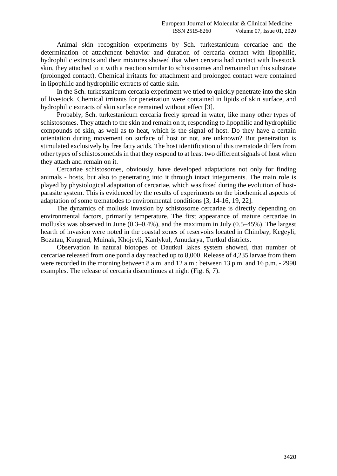Animal skin recognition experiments by Sch. turkestanicum cercariae and the determination of attachment behavior and duration of cercaria contact with lipophilic, hydrophilic extracts and their mixtures showed that when cercaria had contact with livestock skin, they attached to it with a reaction similar to schistosomes and remained on this substrate (prolonged contact). Chemical irritants for attachment and prolonged contact were contained in lipophilic and hydrophilic extracts of cattle skin.

In the Sch. turkestanicum cercaria experiment we tried to quickly penetrate into the skin of livestock. Chemical irritants for penetration were contained in lipids of skin surface, and hydrophilic extracts of skin surface remained without effect [3].

Probably, Sch. turkestanicum cercaria freely spread in water, like many other types of schistosomes. They attach to the skin and remain on it, responding to lipophilic and hydrophilic compounds of skin, as well as to heat, which is the signal of host. Do they have a certain orientation during movement on surface of host or not, are unknown? But penetration is stimulated exclusively by free fatty acids. The host identification of this trematode differs from other types of schistosometids in that they respond to at least two different signals of host when they attach and remain on it.

Cercariae schistosomes, obviously, have developed adaptations not only for finding animals - hosts, but also to penetrating into it through intact integuments. The main role is played by physiological adaptation of cercariae, which was fixed during the evolution of hostparasite system. This is evidenced by the results of experiments on the biochemical aspects of adaptation of some trematodes to environmental conditions [3, 14-16, 19, 22].

The dynamics of mollusk invasion by schistosome cercariae is directly depending on environmental factors, primarily temperature. The first appearance of mature cercariae in mollusks was observed in June (0.3–0.4%), and the maximum in July (0.5–45%). The largest hearth of invasion were noted in the coastal zones of reservoirs located in Chimbay, Kegeyli, Bozatau, Kungrad, Muinak, Khojeyli, Kanlykul, Amudarya, Turtkul districts.

Observation in natural biotopes of Dautkul lakes system showed, that number of cercariae released from one pond a day reached up to 8,000. Release of 4,235 larvae from them were recorded in the morning between 8 a.m. and 12 a.m.; between 13 p.m. and 16 p.m. - 2990 examples. The release of cercaria discontinues at night (Fig. 6, 7).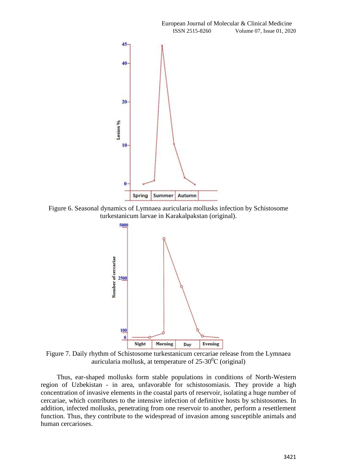

Figure 6. Seasonal dynamics of Lymnaea auricularia mollusks infection by Schistosome turkestanicum larvae in Karakalpakstan (original).



Figure 7. Daily rhythm of Schistosome turkestanicum cercariae release from the Lymnaea auricularia mollusk, at temperature of  $25{\text -}30^0C$  (original)

Thus, ear-shaped mollusks form stable populations in conditions of North-Western region of Uzbekistan - in area, unfavorable for schistosomiasis. They provide a high concentration of invasive elements in the coastal parts of reservoir, isolating a huge number of cercariae, which contributes to the intensive infection of definitive hosts by schistosomes. In addition, infected mollusks, penetrating from one reservoir to another, perform a resettlement function. Thus, they contribute to the widespread of invasion among susceptible animals and human cercarioses.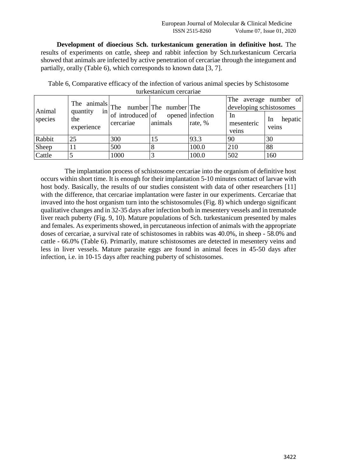**Development of dioecious Sch. turkestanicum generation in definitive host.** The results of experiments on cattle, sheep and rabbit infection by Sch.turkestanicum Cercaria showed that animals are infected by active penetration of cercariae through the integument and partially, orally (Table 6), which corresponds to known data [3, 7].

| Animal<br>species | $\begin{array}{ c c c c c }\n\hline\n\text{The animals} & \text{The number} & \text{The number} & \text{The number} & \text{The number} & \text{The number} & \text{infection} \\ \hline\n\text{quantity} & \text{in} & \text{of } & \text{infection}\n\hline\n\end{array}$<br>the<br>experience | cercariae | animals | rate, % | developing schistosomes<br>In<br>mesenteric<br>veins | The average number of<br>hepatic<br><sub>In</sub><br>veins |
|-------------------|--------------------------------------------------------------------------------------------------------------------------------------------------------------------------------------------------------------------------------------------------------------------------------------------------|-----------|---------|---------|------------------------------------------------------|------------------------------------------------------------|
| Rabbit            | 25                                                                                                                                                                                                                                                                                               | 300       |         | 93.3    | '90                                                  | 30                                                         |
| Sheep             |                                                                                                                                                                                                                                                                                                  | 500       |         | 100.0   | 210                                                  | 88                                                         |
| Cattle            |                                                                                                                                                                                                                                                                                                  | 1000      |         | 100.0   | 502                                                  | 160                                                        |

Table 6, Comparative efficacy of the infection of various animal species by Schistosome turkestanicum cercariae

The implantation process of schistosome cercariae into the organism of definitive host occurs within short time. It is enough for their implantation 5-10 minutes contact of larvae with host body. Basically, the results of our studies consistent with data of other researchers [11] with the difference, that cercariae implantation were faster in our experiments. Cercariae that invaved into the host organism turn into the schistosomules (Fig. 8) which undergo significant qualitative changes and in 32-35 days after infection both in mesentery vessels and in trematode liver reach puberty (Fig. 9, 10). Mature populations of Sch. turkestanicum presented by males and females. As experiments showed, in percutaneous infection of animals with the appropriate doses of cercariae, a survival rate of schistosomes in rabbits was 40.0%, in sheep - 58.0% and cattle - 66.0% (Table 6). Primarily, mature schistosomes are detected in mesentery veins and less in liver vessels. Mature parasite eggs are found in animal feces in 45-50 days after infection, i.e. in 10-15 days after reaching puberty of schistosomes.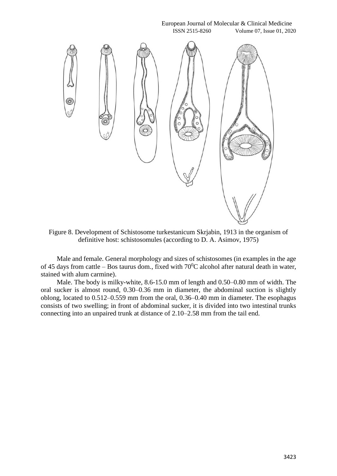#### European Journal of Molecular & Clinical Medicine ISSN 2515-8260 Volume 07, Issue 01, 2020



Figure 8. Development of Schistosome turkestanicum Skrjabin, 1913 in the organism of definitive host: schistosomules (according to D. A. Asimov, 1975)

Male and female. General morphology and sizes of schistosomes (in examples in the age of 45 days from cattle – Bos taurus dom., fixed with  $70^{\circ}$ C alcohol after natural death in water, stained with alum carmine).

Male. The body is milky-white, 8.6-15.0 mm of length and 0.50–0.80 mm of width. The oral sucker is almost round, 0.30–0.36 mm in diameter, the abdominal suction is slightly oblong, located to 0.512–0.559 mm from the oral, 0.36–0.40 mm in diameter. The esophagus consists of two swelling; in front of abdominal sucker, it is divided into two intestinal trunks connecting into an unpaired trunk at distance of 2.10–2.58 mm from the tail end.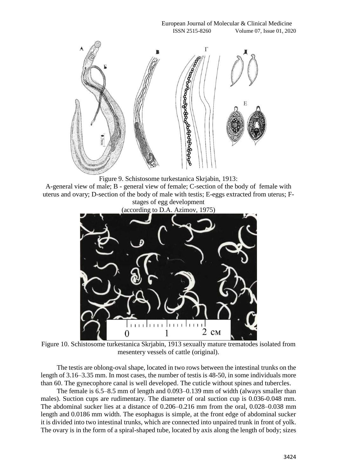

Figure 9. Schistosome turkestanica Skrjabin, 1913:

A-general view of male; B - general view of female; C-section of the body of female with uterus and ovary; D-section of the body of male with testis; E-eggs extracted from uterus; Fstages of egg development



Figure 10. Schistosome turkestanica Skrjabin, 1913 sexually mature trematodes isolated from mesentery vessels of cattle (original).

The testis are oblong-oval shape, located in two rows between the intestinal trunks on the length of 3.16–3.35 mm. In most cases, the number of testis is 48-50, in some individuals more than 60. The gynecophore canal is well developed. The cuticle without spines and tubercles.

The female is 6.5–8.5 mm of length and 0.093–0.139 mm of width (always smaller than males). Suction cups are rudimentary. The diameter of oral suction cup is 0.036-0.048 mm. The abdominal sucker lies at a distance of 0.206–0.216 mm from the oral, 0.028–0.038 mm length and 0.0186 mm width. The esophagus is simple, at the front edge of abdominal sucker it is divided into two intestinal trunks, which are connected into unpaired trunk in front of yolk. The ovary is in the form of a spiral-shaped tube, located by axis along the length of body; sizes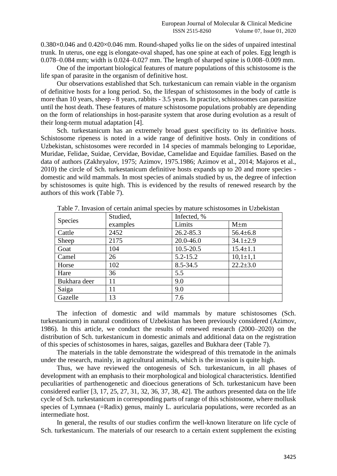0.380×0.046 and 0.420×0.046 mm. Round-shaped yolks lie on the sides of unpaired intestinal trunk. In uterus, one egg is elongate-oval shaped, has one spine at each of poles. Egg length is 0.078–0.084 mm; width is 0.024–0.027 mm. The length of sharped spine is 0.008–0.009 mm.

One of the important biological features of mature populations of this schistosome is the life span of parasite in the organism of definitive host.

Our observations established that Sch. turkestanicum can remain viable in the organism of definitive hosts for a long period. So, the lifespan of schistosomes in the body of cattle is more than 10 years, sheep - 8 years, rabbits - 3.5 years. In practice, schistosomes can parasitize until the host death. These features of mature schistosome populations probably are depending on the form of relationships in host-parasite system that arose during evolution as a result of their long-term mutual adaptation [4].

Sch. turkestanicum has an extremely broad guest specificity to its definitive hosts. Schistosome ripeness is noted in a wide range of definitive hosts. Only in conditions of Uzbekistan, schistosomes were recorded in 14 species of mammals belonging to Leporidae, Muridae, Felidae, Suidae, Cervidae, Bovidae, Camelidae and Equidae families. Based on the data of authors (Zakhryalov, 1975; Azimov, 1975.1986; Azimov et al., 2014; Majoros et al., 2010) the circle of Sch. turkestanicum definitive hosts expands up to 20 and more species domestic and wild mammals. In most species of animals studied by us, the degree of infection by schistosomes is quite high. This is evidenced by the results of renewed research by the authors of this work (Table 7).

| <b>Species</b> | Studied, | Infected, %   |                |
|----------------|----------|---------------|----------------|
|                | examples | Limits        | $M \pm m$      |
| Cattle         | 2452     | 26.2-85.3     | $56.4 \pm 6.8$ |
| Sheep          | 2175     | 20.0-46.0     | $34.1 \pm 2.9$ |
| Goat           | 104      | $10.5 - 20.5$ | $15.4 \pm 1.1$ |
| Camel          | 26       | $5.2 - 15.2$  | $10,1 \pm 1,1$ |
| Horse          | 102      | $8.5 - 34.5$  | $22.2 \pm 3.0$ |
| Hare           | 36       | 5.5           |                |
| Bukhara deer   | 11       | 9.0           |                |
| Saiga          | 11       | 9.0           |                |
| Gazelle        | 13       | 7.6           |                |

Table 7. Invasion of certain animal species by mature schistosomes in Uzbekistan

The infection of domestic and wild mammals by mature schistosomes (Sch. turkestanicum) in natural conditions of Uzbekistan has been previously considered (Azimov, 1986). In this article, we conduct the results of renewed research (2000–2020) on the distribution of Sch. turkestanicum in domestic animals and additional data on the registration of this species of schistosomes in hares, saigas, gazelles and Bukhara deer (Table 7).

The materials in the table demonstrate the widespread of this trematode in the animals under the research, mainly, in agricultural animals, which is the invasion is quite high.

Thus, we have reviewed the ontogenesis of Sch. turkestanicum, in all phases of development with an emphasis to their morphological and biological characteristics. Identified peculiarities of parthenogenetic and dioecious generations of Sch. turkestanicum have been considered earlier [3, 17, 25, 27, 31, 32, 36, 37, 38, 42]. The authors presented data on the life cycle of Sch. turkestanicum in corresponding parts of range of this schistosome, where mollusk species of Lymnaea (=Radix) genus, mainly L. auricularia populations, were recorded as an intermediate host.

In general, the results of our studies confirm the well-known literature on life cycle of Sch. turkestanicum. The materials of our research to a certain extent supplement the existing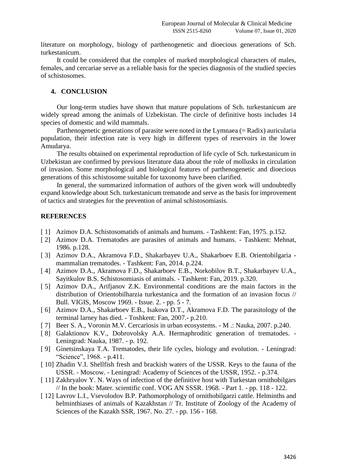literature on morphology, biology of parthenogenetic and dioecious generations of Sch. turkestanicum.

It could be considered that the complex of marked morphological characters of males, females, and cercariae serve as a reliable basis for the species diagnosis of the studied species of schistosomes.

# **4. CONCLUSION**

Our long-term studies have shown that mature populations of Sch. turkestanicum are widely spread among the animals of Uzbekistan. The circle of definitive hosts includes 14 species of domestic and wild mammals.

Parthenogenetic generations of parasite were noted in the Lymnaea (= Radix) auricularia population, their infection rate is very high in different types of reservoirs in the lower Amudarya.

The results obtained on experimental reproduction of life cycle of Sch. turkestanicum in Uzbekistan are confirmed by previous literature data about the role of mollusks in circulation of invasion. Some morphological and biological features of parthenogenetic and dioecious generations of this schistosome suitable for taxonomy have been clarified.

In general, the summarized information of authors of the given work will undoubtedly expand knowledge about Sch. turkestanicum trematode and serve as the basis for improvement of tactics and strategies for the prevention of animal schistosomiasis.

### **REFERENCES**

- [1] Azimov D.A. Schistosomatids of animals and humans. Tashkent: Fan, 1975. p.152.
- [ 2] Azimov D.A. Trematodes are parasites of animals and humans. Tashkent: Mehnat, 1986. p.128.
- [ 3] Azimov D.A., Akramova F.D., Shakarbayev U.A., Shakarboev E.B. Orientobilgaria mammalian trematodes. - Tashkent: Fan, 2014. p.224.
- [ 4] Azimov D.A., Akramova F.D., Shakarboev E.B., Norkobilov B.T., Shakarbayev U.A., Sayitkulov B.S. Schistosomiasis of animals. - Tashkent: Fan, 2019. p.320.
- [ 5] Azimov D.A., Arifjanov Z.K. Environmental conditions are the main factors in the distribution of Orientobilharzia turkestanica and the formation of an invasion focus // Bull. VIGIS, Moscow 1969. - Issue. 2. - pp. 5 - 7.
- [ 6] Azimov D.A., Shakarboev E.B., Isakova D.T., Akramova F.D. The parasitology of the terminal larney has died. - Toshkent: Fan, 2007.- p.210.
- [ 7] Beer S. A., Voronin M.V. Cercariosis in urban ecosystems. M .: Nauka, 2007. p.240.
- [ 8] Galaktionov K.V., Dobrovolsky A.A. Hermaphroditic generation of trematodes. Leningrad: Nauka, 1987. - p. 192.
- [ 9] Ginetsinskaya T.A. Trematodes, their life cycles, biology and evolution. Leningrad: "Science", 1968. - p.411.
- [ 10] Zhadin V.I. Shellfish fresh and brackish waters of the USSR. Keys to the fauna of the USSR. - Moscow. - Leningrad: Academy of Sciences of the USSR, 1952. - p.374.
- [11] Zakhryalov Y. N. Ways of infection of the definitive host with Turkestan ornithobilgars // In the book: Mater. scientific conf. VOG AN SSSR. 1968. - Part 1. - pp. 118 - 122.
- [12] Lavrov L.I., Vsevolodov B.P. Pathomorphology of ornithobilgarzi cattle. Helminths and helminthiases of animals of Kazakhstan // Tr. Institute of Zoology of the Academy of Sciences of the Kazakh SSR, 1967. No. 27. - pp. 156 - 168.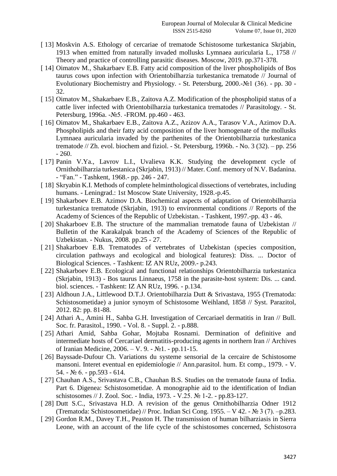- [ 13] Moskvin A.S. Ethology of cercariae of trematode Schistosome turkestanica Skrjabin, 1913 when emitted from naturally invaded mollusks Lymnaea auricularia L., 1758 // Theory and practice of controlling parasitic diseases. Moscow, 2019. pp.371-378.
- [ 14] Oimatov M., Shakarbaev E.B. Fatty acid composition of the liver phospholipids of Bos taurus cows upon infection with Orientobilharzia turkestanica trematode // Journal of Evolutionary Biochemistry and Physiology. - St. Petersburg, 2000.-№1 (36). - pp. 30 - 32.
- [ 15] Oimatov M., Shakarbaev E.B., Zaitova A.Z. Modification of the phospholipid status of a cattle liver infected with Orientobilharzia turkestanica trematodes // Parasitology. - St. Petersburg, 1996a. -№5. -FROM. pp.460 - 463.
- [ 16] Oimatov M., Shakarbaev E.B., Zaitova A.Z., Azizov A.A., Tarasov V.A., Azimov D.A. Phospholipids and their fatty acid composition of the liver homogenate of the mollusks Lymnaea auricularia invaded by the parthenites of the Orientobilharzia turkestanica trematode  $//$  Zh. evol. biochem and fiziol.  $-$  St. Petersburg, 1996b.  $-$  No. 3 (32).  $-$  pp. 256  $-260.$
- [ 17] Panin V.Ya., Lavrov L.I., Uvalieva K.K. Studying the development cycle of Ornithobilharzia turkestanica (Skrjabin, 1913) // Mater. Conf. memory of N.V. Badanina. - "Fan." - Tashkent, 1968.- pp. 246 - 247.
- [ 18] Skryabin K.I. Methods of complete helminthological dissections of vertebrates, including humans. - Leningrad.: 1st Moscow State University, 1928.-p.45.
- [ 19] Shakarboev E.B. Azimov D.A. Biochemical aspects of adaptation of Orientobilharzia turkestanica trematode (Skrjabin, 1913) to environmental conditions // Reports of the Academy of Sciences of the Republic of Uzbekistan. - Tashkent, 1997.-pp. 43 - 46.
- [ 20] Shakarboev E.B. The structure of the mammalian trematode fauna of Uzbekistan // Bulletin of the Karakalpak branch of the Academy of Sciences of the Republic of Uzbekistan. - Nukus, 2008. pp.25 - 27.
- [ 21] Shakarboev E.B. Trematodes of vertebrates of Uzbekistan (species composition, circulation pathways and ecological and biological features): Diss. ... Doctor of Biological Sciences. - Tashkent: IZ AN RUz, 2009.- p.243.
- [ 22] Shakarboev E.B. Ecological and functional relationships Orientobilharzia turkestanica (Skrjabin, 1913) - Bos taurus Linnaeus, 1758 in the parasite-host system: Dis. ... cand. biol. sciences. - Tashkent: IZ AN RUz, 1996. - p.134.
- [ 23] Aldhoun J.A., Littlewood D.T.J. Orientobilharzia Dutt & Srivastava, 1955 (Trematoda: Schistosometidae) a junior synoym of Schistosome Weihland, 1858 // Syst. Parazitol, 2012. 82: pp. 81-88.
- [ 24] Athari A., Amini H., Sahba G.H. Investigation of Cercariael dermatitis in Iran // Bull. Soc. fr. Parasitol., 1990. - Vol. 8. - Suppl. 2. - p.888.
- [ 25] Athari Amid, Sahba Gohar, Mojtaba Rosnami. Dermination of definitive and intermediate hosts of Cercariael dermatitis-producing agents in northern Iran // Archives of Iranian Medicine, 2006. – V. 9. - №1. - pp.11-15.
- [ 26] Bayssade-Dufour Ch. Variations du systeme sensorial de la cercaire de Schistosome mansoni. Interet eventual en epidemiologie // Ann.parasitol. hum. Et comp., 1979. - V.  $54. - N<sub>2</sub> 6. - pp.593 - 614.$
- [ 27] Chauhan A.S., Srivastava C.B., Chauhan B.S. Studies on the trematode fauna of India. Part 6. Digenea: Schistosometidae. A monographie aid to the identification of Indian schistosomes // Ј. Zool. Soc. - India, 1973. - V.25. № 1-2. - pp.83-127.
- [ 28] Dutt S.C., Srivastava H.D. A revision of the genus Ornithobilharzia Odner 1912 (Trematoda: Schistosometidae) // Proc. Indian Sci Cong. 1955. – V 42. -  $\mathbb{N}^{\circ}$  3 (7). –p.283.
- [ 29] Gordon R.M., Davey T.H., Peaston H. The transmission of human bilharziasis in Sierra Leone, with an account of the life cycle of the schistosomes concerned, Schistosoтa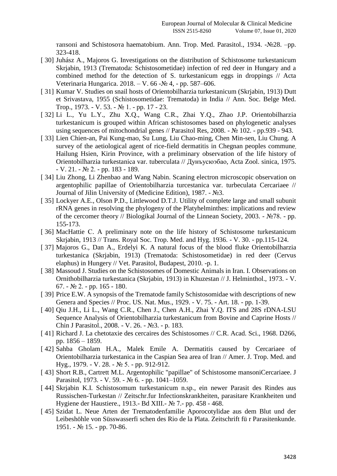тaпsoпi and Schistosoтa haematobium. Ann. Trop. Med. Parasitol., 1934. -№28. –pp. 323-418.

- [ 30] Juhász A., Majoros G. Investigations on the distribution of Schistosome turkestanicum Skrjabin, 1913 (Trematoda: Schistosometidae) infection of red deer in Hungary and a combined method for the detection of S. turkestanicum eggs in droppings // Acta Veterinaria Hungarica. 2018. – V. 66 -№ 4, - pp. 587–606.
- [ 31] Kumar V. Studies on snail hosts of Orientobilharzia turkestanicum (Skrjabin, 1913) Dutt et Srivastava, 1955 (Schistosometidae: Trematoda) in India // Ann. Soc. Belge Med. Trop., 1973. - V. 53. - № 1. - pp. 17 - 23.
- [ 32] Li L., Yu L.Y., Zhu X.Q., Wang C.R., Zhai Y.Q., Zhao J.P. Orientobilharzia turkestanicum is grouped within African schistosomes based on phylogenetic analyses using sequences of mitochondrial genes // Parasitol Res, 2008. - № 102. - pp.939 - 943.
- [ 33] Lien Chien-an, Pai Kung-mao, Su Lung, Liu Chao-ming, Chen Min-sen, Liu Chung. A survey of the aetiological agent of rice-field dermatitis in Chegnan peoples commune, Hailung Hsien, Kirin Province, with a preliminary observation of the life history of Orientobilharzia turkestaniсa var. tuberculata // Дунъусюэбао, Acta Zool. sinica, 1975.  $-V. 21. - N<sub>2</sub> 2. - pp. 183 - 189.$
- [ 34] Liu Zhong, Li Zhenbao and Wang Nabin. Scaning electron microscopic observation on argentophilic papillae of Orientobilharzia turcestanica var. turbeculata Cercariaee // Journal of Jilin University of (Medicine Edition), 1987. - №3.
- [ 35] Lockyer A.E., Olson P.D., Littlewood D.T.J. Utility of complete large and small subunit rRNA genes in resolving the phylogeny of the Platyhelminthes: implications and review of the cercomer theory // Biologikal Journal of the Linnean Society, 2003. - №78. - pp. 155-173.
- [ 36] MacHattie C. A preliminary note on the life history of Schistosome turkestanicum Skrjabin, 1913 // Trans. Royal Soc. Trop. Med. and Hyg. 1936. - V. 30. - pp.115-124.
- [ 37] Majoros G., Dan A., Erdelyi K. A natural focus of the blood fluke Orientobilharzia turkestanica (Skrjabin, 1913) (Trematoda: Schistosometidae) in red deer (Cervus elaphus) in Hungery // Vet. Parasitol, Budapest, 2010. -p. 1.
- [ 38] Massoud J. Studies on the Schistosomes of Domestic Animals in Iran. I. Observations on Ornithobilharzia turkestanica (Skrjabin, 1913) in Khuzestan // J. Helminthol., 1973. - V. 67. -  $\mathcal{N}$  2. - pp. 165 - 180.
- [ 39] Price E.W. A synopsis of the Trematode family Schistosomidae with descriptions of new Genera and Species // Proc. US. Nat. Mus., 1929. - V. 75. - Art. 18. - pp. 1-39.
- [ 40] Qiu J.H., Li L., Wang C.R., Chen J., Chen A.H., Zhai Y.Q. ITS and 28S rDNA-LSU Sequence Analysis of Orientobilharzia turkestanicum from Bovine and Caprine Hosts // Chin J Parasitol., 2008. - V. 26. - №3. - p. 183.
- [ 41] Richard J. La chetotaxie des cercaires des Schistosomes // C.R. Acad. Sci., 1968. D266, pp. 1856 – 1859.
- [ 42] Sahba Gholam H.A., Malek Emile A. Dermatitis caused by Cercariaee of Orientobilharzia turkestanica in the Caspian Sea area of Iran // Amer. J. Trop. Med. and Hyg., 1979. - V. 28. - № 5. - pp. 912-912.
- [ 43] Short R.B., Cartrett M.L. Argentophilic "papillae" of Schistosome mansoniCercariaee. J Parasitol, 1973. - V. 59. - № 6. - pp. 1041–1059.
- [ 44] Skrjabin K.I. Schistosomum turkestanicum n.sp., ein newer Parasit des Rindes aus Russischen-Turkestan // Zeitschr.fur Infectionskrankheiten, parasitare Krankheiten und Hygiene der Haustiere., 1913.- Bd XIII.- № 7.- pp. 458 - 468.
- [ 45] Szidat L. Neue Arten der Trematodenfamilie Aporocotylidae aus dem Blut und der Leibeshöhle von Süsswasserfi schen des Rio de la Plata. Zeitschrift fü r Parasitenkunde. 1951. - № 15. - pp. 70-86.